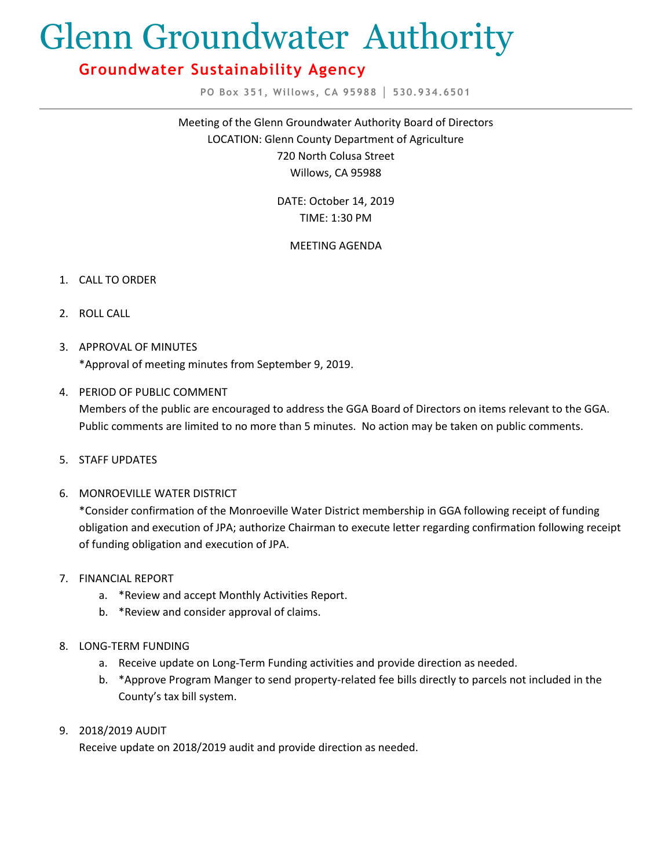# Glenn Groundwater Authority

# **Groundwater Sustainability Agency**

**PO Box 351, Willows, CA 95988 │ 530.934.6501**

Meeting of the Glenn Groundwater Authority Board of Directors LOCATION: Glenn County Department of Agriculture 720 North Colusa Street Willows, CA 95988

> DATE: October 14, 2019 TIME: 1:30 PM

# MEETING AGENDA

- 1. CALL TO ORDER
- 2. ROLL CALL
- 3. APPROVAL OF MINUTES \*Approval of meeting minutes from September 9, 2019.
- 4. PERIOD OF PUBLIC COMMENT Members of the public are encouraged to address the GGA Board of Directors on items relevant to the GGA. Public comments are limited to no more than 5 minutes. No action may be taken on public comments.
- 5. STAFF UPDATES
- 6. MONROEVILLE WATER DISTRICT

\*Consider confirmation of the Monroeville Water District membership in GGA following receipt of funding obligation and execution of JPA; authorize Chairman to execute letter regarding confirmation following receipt of funding obligation and execution of JPA.

- 7. FINANCIAL REPORT
	- a. \*Review and accept Monthly Activities Report.
	- b. \*Review and consider approval of claims.
- 8. LONG-TERM FUNDING
	- a. Receive update on Long-Term Funding activities and provide direction as needed.
	- b. \*Approve Program Manger to send property-related fee bills directly to parcels not included in the County's tax bill system.
- 9. 2018/2019 AUDIT

Receive update on 2018/2019 audit and provide direction as needed.